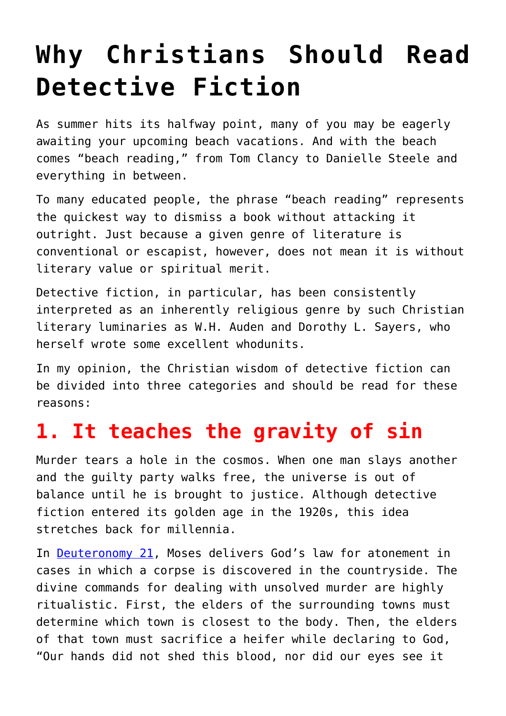## **[Why Christians Should Read](https://intellectualtakeout.org/2018/07/why-christians-should-read-detective-fiction/) [Detective Fiction](https://intellectualtakeout.org/2018/07/why-christians-should-read-detective-fiction/)**

As summer hits its halfway point, many of you may be eagerly awaiting your upcoming beach vacations. And with the beach comes "beach reading," from Tom Clancy to Danielle Steele and everything in between.

To many educated people, the phrase "beach reading" represents the quickest way to dismiss a book without attacking it outright. Just because a given genre of literature is conventional or escapist, however, does not mean it is without literary value or spiritual merit.

Detective fiction, in particular, has been consistently interpreted as an inherently religious genre by such Christian literary luminaries as W.H. Auden and Dorothy L. Sayers, who herself wrote some excellent whodunits.

In my opinion, the Christian wisdom of detective fiction can be divided into three categories and should be read for these reasons:

## **1. It teaches the gravity of sin**

Murder tears a hole in the cosmos. When one man slays another and the guilty party walks free, the universe is out of balance until he is brought to justice. Although detective fiction entered its golden age in the 1920s, this idea stretches back for millennia.

In [Deuteronomy 21,](https://www.biblegateway.com/passage/?search=Deuteronomy+21-25&version=ESV) Moses delivers God's law for atonement in cases in which a corpse is discovered in the countryside. The divine commands for dealing with unsolved murder are highly ritualistic. First, the elders of the surrounding towns must determine which town is closest to the body. Then, the elders of that town must sacrifice a heifer while declaring to God, "Our hands did not shed this blood, nor did our eyes see it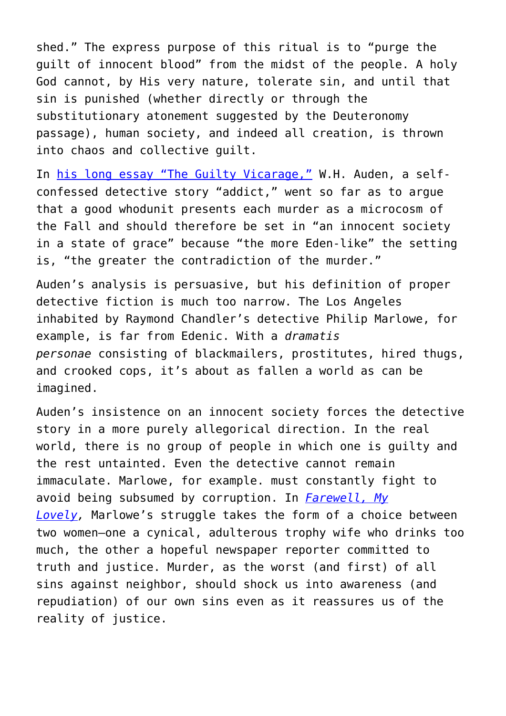shed." The express purpose of this ritual is to "purge the guilt of innocent blood" from the midst of the people. A holy God cannot, by His very nature, tolerate sin, and until that sin is punished (whether directly or through the substitutionary atonement suggested by the Deuteronomy passage), human society, and indeed all creation, is thrown into chaos and collective guilt.

In [his long essay "The Guilty Vicarage,"](https://harpers.org/archive/1948/05/the-guilty-vicarage/2/) W.H. Auden, a selfconfessed detective story "addict," went so far as to argue that a good whodunit presents each murder as a microcosm of the Fall and should therefore be set in "an innocent society in a state of grace" because "the more Eden-like" the setting is, "the greater the contradiction of the murder."

Auden's analysis is persuasive, but his definition of proper detective fiction is much too narrow. The Los Angeles inhabited by Raymond Chandler's detective Philip Marlowe, for example, is far from Edenic. With a *dramatis personae* consisting of blackmailers, prostitutes, hired thugs, and crooked cops, it's about as fallen a world as can be imagined.

Auden's insistence on an innocent society forces the detective story in a more purely allegorical direction. In the real world, there is no group of people in which one is guilty and the rest untainted. Even the detective cannot remain immaculate. Marlowe, for example. must constantly fight to avoid being subsumed by corruption. In *[Farewell, My](https://www.amazon.com/Farewell-My-Lovely-Raymond-Chandler/dp/0394758277) [Lovely](https://www.amazon.com/Farewell-My-Lovely-Raymond-Chandler/dp/0394758277),* Marlowe's struggle takes the form of a choice between two women—one a cynical, adulterous trophy wife who drinks too much, the other a hopeful newspaper reporter committed to truth and justice. Murder, as the worst (and first) of all sins against neighbor, should shock us into awareness (and repudiation) of our own sins even as it reassures us of the reality of justice.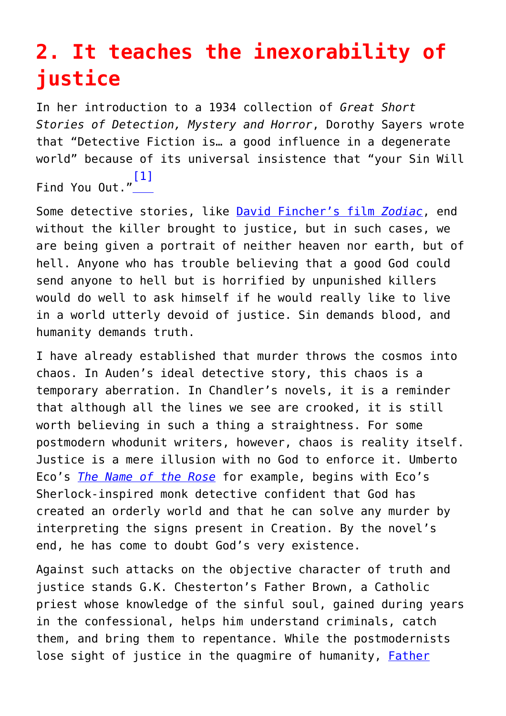## **2. It teaches the inexorability of justice**

In her introduction to a 1934 collection of *Great Short Stories of Detection, Mystery and Horror*, Dorothy Sayers wrote that "Detective Fiction is… a good influence in a degenerate world" because of its universal insistence that "your Sin Will Find You Out." [\[1\]](#page--1-0)

Some detective stories, like [David Fincher's film](https://www.imdb.com/title/tt0443706/) *[Zodiac](https://www.imdb.com/title/tt0443706/)*, end without the killer brought to justice, but in such cases, we are being given a portrait of neither heaven nor earth, but of hell. Anyone who has trouble believing that a good God could send anyone to hell but is horrified by unpunished killers would do well to ask himself if he would really like to live in a world utterly devoid of justice. Sin demands blood, and humanity demands truth.

I have already established that murder throws the cosmos into chaos. In Auden's ideal detective story, this chaos is a temporary aberration. In Chandler's novels, it is a reminder that although all the lines we see are crooked, it is still worth believing in such a thing a straightness. For some postmodern whodunit writers, however, chaos is reality itself. Justice is a mere illusion with no God to enforce it. Umberto Eco's *[The Name of the Rose](https://www.amazon.com/Name-Rose-Umberto-Eco/dp/0544176561)* for example, begins with Eco's Sherlock-inspired monk detective confident that God has created an orderly world and that he can solve any murder by interpreting the signs present in Creation. By the novel's end, he has come to doubt God's very existence.

Against such attacks on the objective character of truth and justice stands G.K. Chesterton's Father Brown, a Catholic priest whose knowledge of the sinful soul, gained during years in the confessional, helps him understand criminals, catch them, and bring them to repentance. While the postmodernists lose sight of justice in the quagmire of humanity, [Father](https://www.chesterton.org/blue-cross/)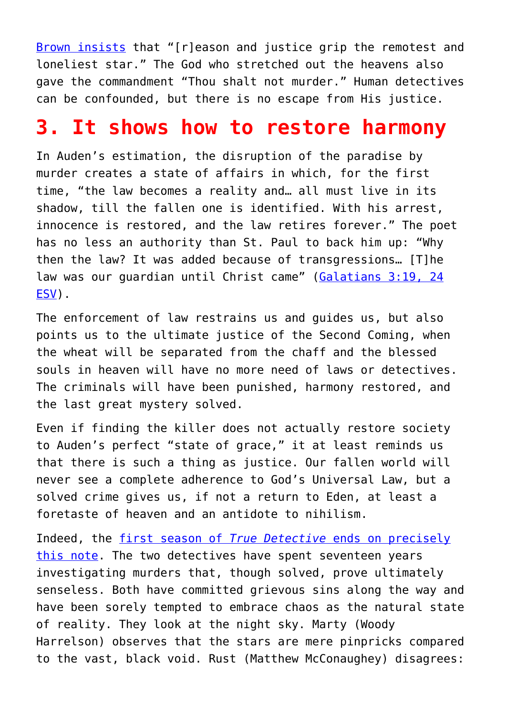[Brown insists](https://www.chesterton.org/blue-cross/) that "[r]eason and justice grip the remotest and loneliest star." The God who stretched out the heavens also gave the commandment "Thou shalt not murder." Human detectives can be confounded, but there is no escape from His justice.

## **3. It shows how to restore harmony**

In Auden's estimation, the disruption of the paradise by murder creates a state of affairs in which, for the first time, "the law becomes a reality and… all must live in its shadow, till the fallen one is identified. With his arrest, innocence is restored, and the law retires forever." The poet has no less an authority than St. Paul to back him up: "Why then the law? It was added because of transgressions… [T]he law was our quardian until Christ came" ([Galatians 3:19, 24](http://biblehub.com/esv/galatians/3.htm) [ESV\)](http://biblehub.com/esv/galatians/3.htm).

The enforcement of law restrains us and guides us, but also points us to the ultimate justice of the Second Coming, when the wheat will be separated from the chaff and the blessed souls in heaven will have no more need of laws or detectives. The criminals will have been punished, harmony restored, and the last great mystery solved.

Even if finding the killer does not actually restore society to Auden's perfect "state of grace," it at least reminds us that there is such a thing as justice. Our fallen world will never see a complete adherence to God's Universal Law, but a solved crime gives us, if not a return to Eden, at least a foretaste of heaven and an antidote to nihilism.

Indeed, the [first season of](http://www.slate.com/blogs/browbeat/2014/03/09/true_detective_on_hbo_rust_s_final_speech_about_how_the_light_s_winning.html) *[True Detective](http://www.slate.com/blogs/browbeat/2014/03/09/true_detective_on_hbo_rust_s_final_speech_about_how_the_light_s_winning.html)* [ends on precisely](http://www.slate.com/blogs/browbeat/2014/03/09/true_detective_on_hbo_rust_s_final_speech_about_how_the_light_s_winning.html) [this note.](http://www.slate.com/blogs/browbeat/2014/03/09/true_detective_on_hbo_rust_s_final_speech_about_how_the_light_s_winning.html) The two detectives have spent seventeen years investigating murders that, though solved, prove ultimately senseless. Both have committed grievous sins along the way and have been sorely tempted to embrace chaos as the natural state of reality. They look at the night sky. Marty (Woody Harrelson) observes that the stars are mere pinpricks compared to the vast, black void. Rust (Matthew McConaughey) disagrees: